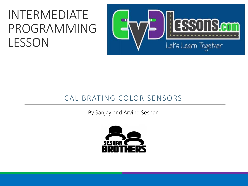#### INTERMEDIATE PROGRAMMING LESSON



#### CALIBRATING COLOR SENSORS

By Sanjay and Arvind Seshan

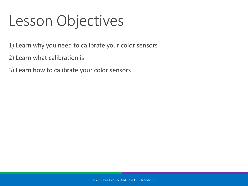#### Lesson Objectives

- 1) Learn why you need to calibrate your color sensors
- 2) Learn what calibration is
- 3) Learn how to calibrate your color sensors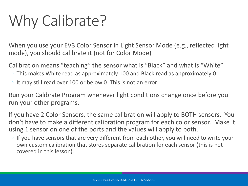# Why Calibrate?

When you use your EV3 Color Sensor in Light Sensor Mode (e.g., reflected light mode), you should calibrate it (not for Color Mode)

Calibration means "teaching" the sensor what is "Black" and what is "White"

- This makes White read as approximately 100 and Black read as approximately 0
- It may still read over 100 or below 0. This is not an error.

Run your Calibrate Program whenever light conditions change once before you run your other programs.

If you have 2 Color Sensors, the same calibration will apply to BOTH sensors. You don't have to make a different calibration program for each color sensor. Make it using 1 sensor on one of the ports and the values will apply to both.

◦ If you have sensors that are very different from each other, you will need to write your own custom calibration that stores separate calibration for each sensor (this is not covered in this lesson).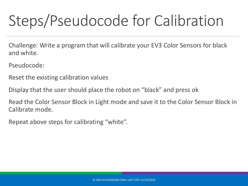# Steps/Pseudocode for Calibration

Challenge: Write a program that will calibrate your EV3 Color Sensors for black and white.

Pseudocode:

Reset the existing calibration values

Display that the user should place the robot on "black" and press ok

Read the Color Sensor Block in Light mode and save it to the Color Sensor Block in Calibrate mode.

Repeat above steps for calibrating "white".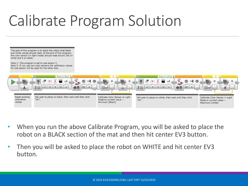# Calibrate Program Solution



- When you run the above Calibrate Program, you will be asked to place the robot on a BLACK section of the mat and then hit center EV3 button.
- Then you will be asked to place the robot on WHITE and hit center EV3 button.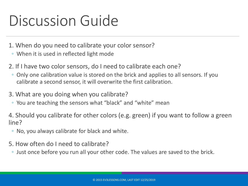## Discussion Guide

- 1. When do you need to calibrate your color sensor?
- When it is used in reflected light mode
- 2. If I have two color sensors, do I need to calibrate each one?
	- Only one calibration value is stored on the brick and applies to all sensors. If you calibrate a second sensor, it will overwrite the first calibration.
- 3. What are you doing when you calibrate?
	- You are teaching the sensors what "black" and "white" mean

4. Should you calibrate for other colors (e.g. green) if you want to follow a green line?

- No, you always calibrate for black and white.
- 5. How often do I need to calibrate?
	- Just once before you run all your other code. The values are saved to the brick.